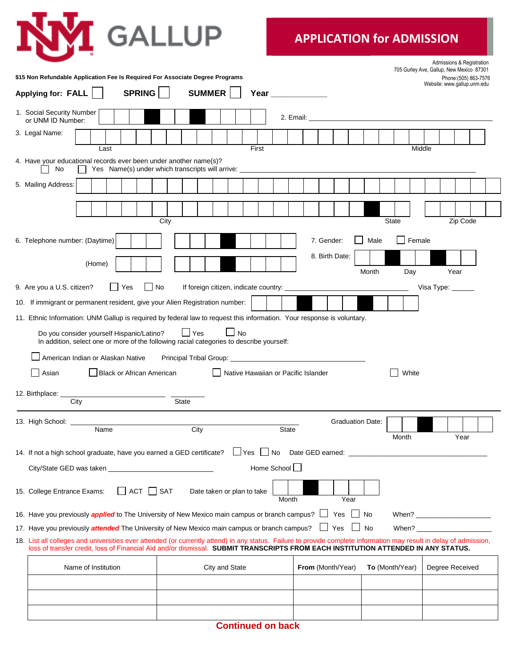

## **APPLICATION for ADMISSION**

|                                                                                                                                                                                                                                                                                                          |                                                                                                                     |                                                                                                                                                                                                                                |                           | Admissions & Registration<br>705 Gurley Ave, Gallup, New Mexico 87301 |  |
|----------------------------------------------------------------------------------------------------------------------------------------------------------------------------------------------------------------------------------------------------------------------------------------------------------|---------------------------------------------------------------------------------------------------------------------|--------------------------------------------------------------------------------------------------------------------------------------------------------------------------------------------------------------------------------|---------------------------|-----------------------------------------------------------------------|--|
| \$15 Non Refundable Application Fee Is Required For Associate Degree Programs                                                                                                                                                                                                                            |                                                                                                                     |                                                                                                                                                                                                                                |                           | Phone: (505) 863-7576<br>Website: www.gallup.unm.edu                  |  |
| <b>SPRING</b><br><b>Applying for: FALL</b>                                                                                                                                                                                                                                                               | <b>SUMMER</b>                                                                                                       | Year and the control of the control of the control of the control of the control of the control of the control of the control of the control of the control of the control of the control of the control of the control of the |                           |                                                                       |  |
| 1. Social Security Number<br>or UNM ID Number:                                                                                                                                                                                                                                                           |                                                                                                                     |                                                                                                                                                                                                                                |                           |                                                                       |  |
| 3. Legal Name:                                                                                                                                                                                                                                                                                           |                                                                                                                     |                                                                                                                                                                                                                                |                           |                                                                       |  |
| Last                                                                                                                                                                                                                                                                                                     | First                                                                                                               |                                                                                                                                                                                                                                |                           | Middle                                                                |  |
| 4. Have your educational records ever been under another name(s)?<br>No                                                                                                                                                                                                                                  | Yes Name(s) under which transcripts will arrive:                                                                    |                                                                                                                                                                                                                                |                           |                                                                       |  |
| 5. Mailing Address:                                                                                                                                                                                                                                                                                      |                                                                                                                     |                                                                                                                                                                                                                                |                           |                                                                       |  |
|                                                                                                                                                                                                                                                                                                          |                                                                                                                     |                                                                                                                                                                                                                                |                           |                                                                       |  |
|                                                                                                                                                                                                                                                                                                          | City                                                                                                                |                                                                                                                                                                                                                                | <b>State</b>              | Zip Code                                                              |  |
| 6. Telephone number: (Daytime)                                                                                                                                                                                                                                                                           |                                                                                                                     | 7. Gender:                                                                                                                                                                                                                     | Female<br>Male            |                                                                       |  |
| (Home)                                                                                                                                                                                                                                                                                                   |                                                                                                                     | 8. Birth Date:                                                                                                                                                                                                                 |                           |                                                                       |  |
|                                                                                                                                                                                                                                                                                                          |                                                                                                                     |                                                                                                                                                                                                                                | Month<br>Day              | Year                                                                  |  |
| 9. Are you a U.S. citizen?<br>Yes<br>$\mathsf{L}$                                                                                                                                                                                                                                                        | No<br>If foreign citizen, indicate country:                                                                         |                                                                                                                                                                                                                                |                           | Visa Type: $\frac{1}{2}$                                              |  |
| 10. If immigrant or permanent resident, give your Alien Registration number:                                                                                                                                                                                                                             |                                                                                                                     |                                                                                                                                                                                                                                |                           |                                                                       |  |
| 11. Ethnic Information: UNM Gallup is required by federal law to request this information. Your response is voluntary.                                                                                                                                                                                   |                                                                                                                     |                                                                                                                                                                                                                                |                           |                                                                       |  |
| Do you consider yourself Hispanic/Latino?                                                                                                                                                                                                                                                                | $\Box$ No<br>$\Box$ Yes<br>In addition, select one or more of the following racial categories to describe yourself: |                                                                                                                                                                                                                                |                           |                                                                       |  |
| American Indian or Alaskan Native                                                                                                                                                                                                                                                                        |                                                                                                                     |                                                                                                                                                                                                                                |                           |                                                                       |  |
| Black or African American<br>Asian                                                                                                                                                                                                                                                                       | Native Hawaiian or Pacific Islander                                                                                 |                                                                                                                                                                                                                                | White                     |                                                                       |  |
|                                                                                                                                                                                                                                                                                                          |                                                                                                                     |                                                                                                                                                                                                                                |                           |                                                                       |  |
| 12. Birthplace:<br>City                                                                                                                                                                                                                                                                                  | State                                                                                                               |                                                                                                                                                                                                                                |                           |                                                                       |  |
| 13. High School:                                                                                                                                                                                                                                                                                         |                                                                                                                     |                                                                                                                                                                                                                                | <b>Graduation Date:</b>   |                                                                       |  |
| Name                                                                                                                                                                                                                                                                                                     | City                                                                                                                | State                                                                                                                                                                                                                          | Month                     | Year                                                                  |  |
| 14. If not a high school graduate, have you earned a GED certificate?                                                                                                                                                                                                                                    | $\Box$ Yes $\Box$ No                                                                                                |                                                                                                                                                                                                                                |                           |                                                                       |  |
|                                                                                                                                                                                                                                                                                                          | Home School U                                                                                                       |                                                                                                                                                                                                                                |                           |                                                                       |  |
| $\Box$ ACT $\Box$ SAT<br>Date taken or plan to take<br>15. College Entrance Exams:                                                                                                                                                                                                                       |                                                                                                                     |                                                                                                                                                                                                                                |                           |                                                                       |  |
|                                                                                                                                                                                                                                                                                                          |                                                                                                                     | Month<br>Year                                                                                                                                                                                                                  |                           |                                                                       |  |
| 16. Have you previously <i>applied</i> to The University of New Mexico main campus or branch campus? □ Yes □ No                                                                                                                                                                                          |                                                                                                                     |                                                                                                                                                                                                                                |                           |                                                                       |  |
| 17. Have you previously <i>attended</i> The University of New Mexico main campus or branch campus?                                                                                                                                                                                                       |                                                                                                                     | Yes                                                                                                                                                                                                                            | <b>No</b><br>$\mathbf{L}$ | When?                                                                 |  |
| 18. List all colleges and universities ever attended (or currently attend) in any status. Failure to provide complete information may result in delay of admission,<br>loss of transfer credit, loss of Financial Aid and/or dismissal. SUBMIT TRANSCRIPTS FROM EACH INSTITUTION ATTENDED IN ANY STATUS. |                                                                                                                     |                                                                                                                                                                                                                                |                           |                                                                       |  |
| Name of Institution                                                                                                                                                                                                                                                                                      | City and State                                                                                                      | From (Month/Year)                                                                                                                                                                                                              | To (Month/Year)           | Degree Received                                                       |  |
|                                                                                                                                                                                                                                                                                                          |                                                                                                                     |                                                                                                                                                                                                                                |                           |                                                                       |  |
|                                                                                                                                                                                                                                                                                                          |                                                                                                                     |                                                                                                                                                                                                                                |                           |                                                                       |  |
|                                                                                                                                                                                                                                                                                                          |                                                                                                                     |                                                                                                                                                                                                                                |                           |                                                                       |  |

**Continued on back**